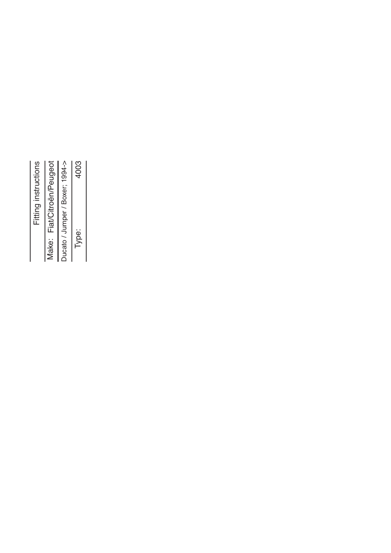| Fitting instructions |                            |                                 | 4003  |
|----------------------|----------------------------|---------------------------------|-------|
|                      | Make: Fiat/Citroën/Peugeot | Ducato / Jumper / Boxer; 1994-> | Type: |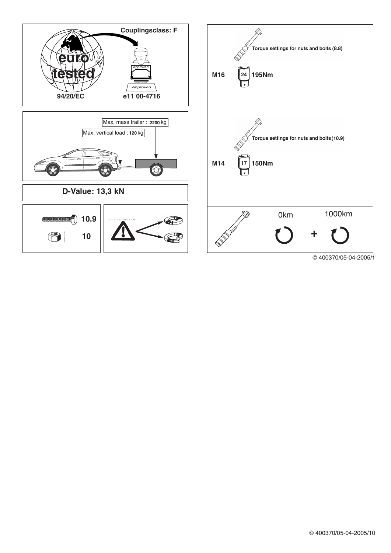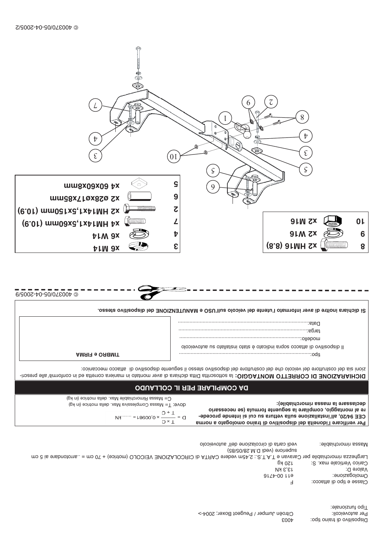|                                       | ⊺ipo funzionale:             |
|---------------------------------------|------------------------------|
| Citroën Jumper / Peugeot Boxer; 2004. | Per autoveicoli:             |
| E004                                  | :oqit onis ti ib ovitisoqaiO |

Per verificare l'idoneità del dispositivo di traino omologato a norma

|                           | Larghesam im 07 + (epirtom) OJOOIEV ENOISALOORIO ib ATRAO erebev m3P.S.: 2.T.A.T e navsnsO req elidsidoromin sszedgnsJ |
|---------------------------|------------------------------------------------------------------------------------------------------------------------|
| Carico Verticale max. S:  | 150 Kg                                                                                                                 |
| Valore D:                 | <b>13,3 KN</b>                                                                                                         |
| omologazione:             | $91Zb-00Ib$                                                                                                            |
| Classe e tipo di attacco: |                                                                                                                        |
|                           |                                                                                                                        |
|                           |                                                                                                                        |
|                           |                                                                                                                        |

|                                                                                                                       | vedi carta di circolazione dell' autoveicolo | Massa rimorchiabile: |
|-----------------------------------------------------------------------------------------------------------------------|----------------------------------------------|----------------------|
|                                                                                                                       | superiore (vedi D.M.28/05/85)                |                      |
| Latghesian in 07 + (epition) OLOOI EV PLOSCION ib ATRAO enebby maps. S.T.A.T e navared venicon a  arrotondare ai 5 cm |                                              |                      |

 $\epsilon$ 

DICHIARAZIONE DI CORRETTO MONTAGGIO: la sottoscritta Ditta dichiara di aver montato in maniera corretta ed in conformit/alle prescri-DY COMBITVEE BEB IF COFFVNDO C= Massa Rimorchiabile Max. della motrice (in kg) declassare la massa rimorchiabile): dove: T= Massa Complessiva Max. della motrice (in kg) re al montaggio, compilare la seguente formula (se necessario  $D = \frac{1 + C}{1 \times C} \times 0.00981 = \dots \times 10^{10}$ CEE 94/20, all'installazione sulla vettura su cui si intende procede-

## Data:...................... targa:.............. olooievotus uz otalistari otsta é otsoibni snqoz ooostta ib ovitizoqaib II  $\begin{array}{c}\n\hline\n\vdots \\
\hline\n\vdots \\
\hline\n\vdots \\
\hline\n\vdots \\
\hline\n\vdots \\
\hline\n\vdots \\
\hline\n\vdots \\
\hline\n\vdots \\
\hline\n\vdots \\
\hline\n\vdots \\
\hline\n\vdots \\
\hline\n\vdots \\
\hline\n\vdots \\
\hline\n\vdots \\
\hline\n\vdots \\
\hline\n\vdots \\
\hline\n\vdots \\
\hline\n\vdots \\
\hline\n\vdots \\
\hline\n\vdots \\
\hline\n\vdots \\
\hline\n\vdots \\
\hline\n\vdots \\
\hline\n\vdots \\
\hline\n\vdots \\
\hline\n\vdots \\
\hline\n$ AMRIR e ORBMIT conniscome da de vestudo e costruítore del costruítore del dispositio a seguente dispositivo di attacco meccanico:

© 400370/05-04-2005/9 Si dichiara inoltre di aver informato l'utente del veicolo sull'USO e MANUTENZIONE del dispositio stesso.

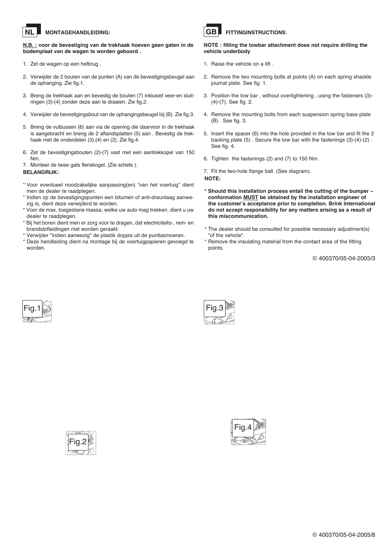### **MONTAGEHANDLEIDING: NL**

**N.B. : voor de bevestiging van de trekhaak hoeven geen gaten in de bodemplaat van de wagen te worden geboord .**

- 1. Zet de wagen op een hefbrug .
- 2. Verwijder de 2 bouten van de punten (A) van de bevestigingsbeugel aan de ophanging. Zie fig.1.
- 3. Breng de trekhaak aan en bevestig de bouten (7) inklusief veer-en sluitringen (3)-(4) zonder deze aan te draaien. Zie fig.2.
- 4. Verwijder de bevestigingsbout van de ophangingsbeugel bij (B). Zie fig.3.
- 5. Breng de vulbussen (6) aan via de opening die daarvoor in de trekhaak is aangebracht en breng de 2 aftandsplatten (5) aan . Bevestig de trekhaak met de onderdelen (3),(4) en (2). Zie fig.4.
- 6. Zet de bevestigingsbouten (2)-(7) vast met een aantrekkopel van 150 Nm.

7. Monteer de twee gats flenskogel. (Zie schets ). **BELANGRIJK:**

- \* Voor eventueel noodzakelijke aanpassing(en) "van het voertuig" dient men de dealer te raadplegen.
- \* Indien op de bevestigingspunten een bitumen of anti-dreunlaag aanwezig is, dient deze verwijderd te worden.
- \* Voor de max. toegestane massa, welke uw auto mag trekken, dient <sup>u</sup> uw dealer te raadplegen.
- \* Bij het boren dient men er zorg voor te dragen, dat electriciteits-, rem- en brandstofleidingen niet worden geraakt.
- \* Verwijder "indien aanwezig" de plastik dopjes uit de puntlasmoeren.
- \* Deze handleiding dient na montage bij de voertuigpapieren gevoegd te worden.



## **FITTINGINSTRUCTIONS**:

**NOTE : fitting the towbar attachment does not require drilling the vehicle underbody**

- 1. Raise the vehicle on a lift .
- 2. Remove the two mounting bolts at points (A) on each spring shackle journal plate. See fig. 1.
- 3. Position the tow bar , without overtightening , using the fasteners (3)- (4)-(7). See fig. 2.
- 4. Remove the mounting bolts from each suspension spring base plate (B) . See fig. 3.
- 5. Insert the spacer (6) into the hole provided in the tow bar and fit the 2 backing plate (5) . Secure the tow bar with the fastenings (3)-(4)-(2) . See fig. 4.
- 6. Tighten the fastenings (2) and (7) to 150 Nm.

7. Fit the two-hole flange ball. (See diagram). **NOTE:**

- **\* Should this installation process entail the cutting of the bumper – conformation MUST be obtained by the installation engineer of the customer's acceptance prior to completion. Brink International do not accept responsibility for any matters arising as <sup>a</sup> result of this miscommunication.**
- \* The dealer should be consulted for possible necessary adjustment(s) "of the vehicle".
- \* Remove the insulating material from the contact area of the fitting points.

© 400370/05-04-2005/3







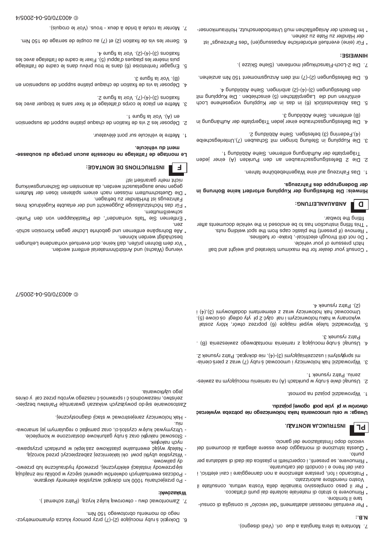## ∵a N

- tare il fornitore. - Per eventuali necessari adattamenti "del veicolo" si consiglia di consul-
- \* Rimuovere lo strato di materiale isolante dai punti d'attacco.
- vostro rivenditore autorizzato. \* Per il peso complessivo trainabile della Vostra vettura, consultate il
- cavi del freno e i condotti del carburante. \* Praticando i fori, prestare attenzione a non danneggiare i cavi elettrici, i
- \* Rimuovere, se presenti, i coperchietti in plastica dai dadi di saldatura per
- veicolo dopo l'installazione del gancio. \* Questa istruzione di montaggio deve essere allegata ai documenti del ouund
- 

# **br**

## **INSTRUKCJA MONTAZJ.**

### otworów w płycie podł ogowej pojazdu. Uwaga: w celu umocowania haka holowniczego nie potrzeba wywiercać

- 1 Wprowadzić pojazb na pomost.
- zeniu. Patrz rysunek 1. - Psuwas an myosiuoom uineims an (A) nast Anuq w ydu a eiwb osnued.
- mi sprevystymi i uszczelniającymi (3)-(4), nie dokręcać. Patrz rysunek 2. 3. Wprowadzić hak holowniczy i umocować śruby (7) wraz z pierścienia-
- Patrz rysunek 3. 4. Usunąć śrubę mocującą z ramienia montażowego zawieszenia (B).
- (2). Patrz rysunek 4. Umocować hak holowniczy wraz z stanementami idodkowymi (3), (4) i wykonany w haku holowniczym i nał ożyć 2 pł yty odległ ościowe (5). 5. Wprowadzić tuleje wypeł niające (6) poprzez otwór, który został

C 400370/05-04-2006/7

- " Consult your dealer for the maximum tolerated pull weight and ball
- hitch pressure of your vehicle.
- \* Remove (if present) the plastic caps from the spot welding nuts. \* Do not drill through electrical-, brake- or fuellines.
- \* This fitting instruction has to be enclosed in the vehicle documents after
- льдмог эпл рпллг



# **ANBAUANLEITUNG:**

### ger Bodengruppe des Fanrzeugs. Hinweis: Die Befestigung der Kupplung erfordert keine Bohrung in

- 1. Das Fahrzeug auf eine Wagenhebebühne fahren.
- Trägerplatte der Aufhängnng entfernen. Siehe Abbildung 1. 2. Die 2 Befestigungsschrauben an den Punkten (A) einer jeden
- (4), Federring (3) befestigen. Siehe Abbildung 2. 3. Die Kupplung in Stellung bringen mit Schauben (7), Unterlegscheibe
- . £ pnubliddA enei 2. nemettne (B) 4. Die Betestigungsschraube einer jeden Trägerplatte der Aufhängung in
- 4b Betestigungen (2)-(4)-(2) anbringen. Siehe Abbildung 4. sinführen und die Lagerplätichen (5) nenzehieben Die Kupplung mit 5. Das Abstandsstück (6) in das in der Kupplung vorgesehene Loch
- 6. Die Befestigungen (7)-(7) mit dem Anzugsmoment 150 Mm anziehen.
- 7. Die 2-Loch-Flanschkugel montieren. (Siehe Skizze).

### **HINMEISE:**

- \* Für (eine) eventuell erforderliche Anpassung(en) "des Fahrzeugs" ist
- \* Im Bereich der Anlageflächen muß Unterbodenschutz, Hohlraumkonserder Händler zu Rate zu ziehen.
- 7. Monter la rotule à bride à deux trous. (Voir le croquis).

\* Entfernen Sie "falls vorhanden", die Plastikkappen von den Punkt**u**əz \* Alle Bohrspäne entfernen und gebohrte Löcher gegen Korrosion schüt-

vierung (Wachs) und Antidröhnmaterial entfernt werden.

schweißmuttern.

\* Vor dem Bohren prüfen, daß keine, dort eventuell vorhandene Leitungen

zeństwo, niezawodnoś i sprawnoś ć naszego wyrobu przez cał y okres Zastosowanie się do powyższych wskazań gwarantuje Pańsńad bezpiec-

- Oftzymywać kulęw czystos ci, oraz pamiętać o regularnym jej smarowa-- Stosować nakrętki oraz s ruby gatunkowe dostarczone w komplecie.

- Należy wyjąć ewentualne plastikowe zaślepki w punktach przyspawa-- Wszystkie ubytki powł oki lakierniczej zabezpieczyć przed korozją.

sięprzewody instalacji elektrycznej, przewody hydrauliczne lub przewo-

- Podczas ewentualnych odwierłów upewnić sięczy w poblizu nie znajdują

6. Dokręcić śruby mocujące (2)-(5) przy pomocy klucza dynamometrycz-

- Po przejechaniu 1000 km dokręti wszystkie elementy skrętane.

7. Zamontować dwu - otworową kulęz kryzą. (Patrz schemat).

mego do momentu obrotowego 150 Nm.

- Hak holowniczy zarejestrować w stacji diagnostycznej.

- Fahrzeugs ist IhrHandler zu betragen. \* Für das höchstzulässige Zuggewicht und der erlaubte Kugeldruck Ihres
- dedeu uene snadersnatur werden, da ansonsten die Sicherungswirkung \* Die Quetschmuttern müssen nach einem späteren lösen der Muttern
- nicht mehr garantiert ist!

# **:BATNOM BG SNOITOURTENI**

### ment du véhicule. Le montage de l'attelage ne nécessite aucun perçage du soubasse-

beschädigt werden können.

jego użytkowania.

иусһ пакгеек.

dy paliwowe.

MSKSZOWKI:

'nii

 $\mathbf{H}$ 

- 1. Wettre le venicule sur pont elevateur.
- . I enugit al nioV .(A) ne 2. Déposer les 2 vis de fixation de chaque platine support de suspension
- .S  $\mathsf{supp}(\mathsf{C})$ -( $\mathsf{A}$ )-( $\mathsf{D}$ ) Voir la figure 2. 3. Mettre en place le corps d'attelage et le fixer sans le bloquer avec les
- . £ enugit al rioV . (B) 4. Deposer la vis de fixation de chaque platine support de suspension en
- fixations (3)-(4)-(2). Voir la figure 4. puis insérer les plaques d'appui (5). Fixer le cadre de l'attelage avec les 5. Engager l'entretoise (6) dans le trou prévu dans le cadre de l'attelage
- 6. Serrer les vis de fixation (2) et (7) au couple de serrage de 150 Nm.
-